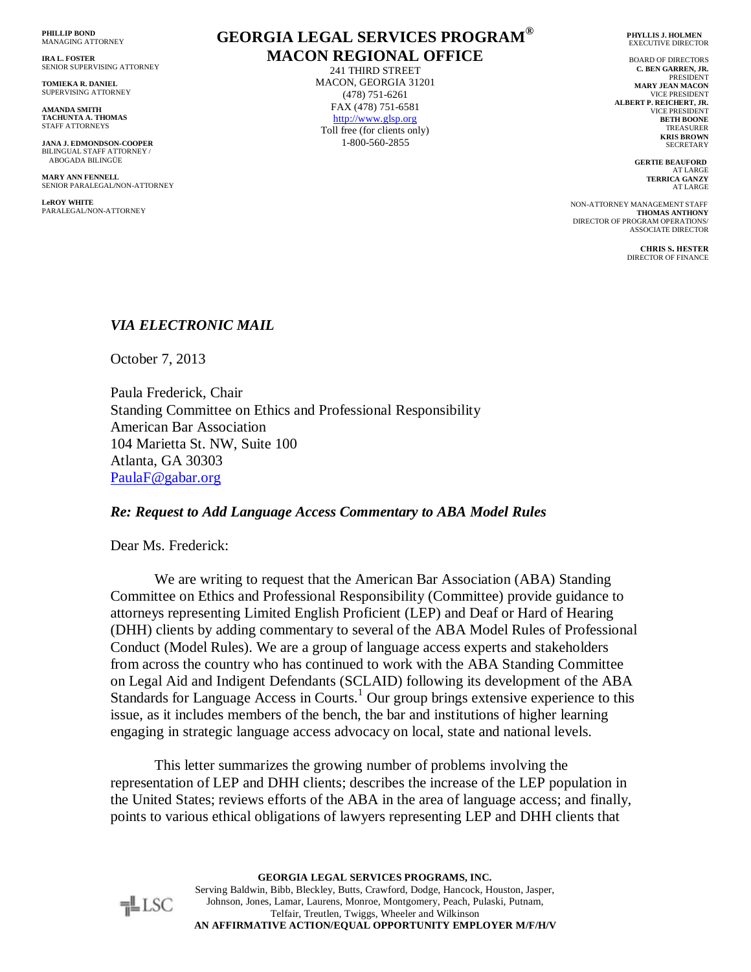**PHILLIP BOND** MANAGING ATTORNEY

**IRA L. FOSTER** SENIOR SUPERVISING ATTORNEY

**TOMIEKA R. DANIEL** SUPERVISING ATTORNEY

**AMANDA SMITH TACHUNTA A. THOMAS** STAFF ATTORNEYS

**JANA J. EDMONDSON-COOPER** BILINGUAL STAFF ATTORNEY ABOGADA BILINGÜE

**MARY ANN FENNELL** SENIOR PARALEGAL**/**NON-ATTORNEY

**LeROY WHITE** PARALEGAL/NON-ATTORNEY

# **GEORGIA LEGAL SERVICES PROGRAM® MACON REGIONAL OFFICE**

241 THIRD STREET MACON, GEORGIA 31201 (478) 751-6261 FAX (478) 751-6581 http://www.glsp.org Toll free (for clients only) 1-800-560-2855

 **PHYLLIS J. HOLMEN** EXECUTIVE DIRECTOR

BOARD OF DIRECTORS **C. BEN GARREN, JR.** PRESIDENT **MARY JEAN MACON** VICE PRESIDENT **ALBERT P. REICHERT, JR.** VICE PRESIDENT **BETH BOONE TREASURER KRIS BROWN** SECRETARY

> **GERTIE BEAUFORD** AT LARGE **TERRICA GANZY** AT LARGE

 NON-ATTORNEY MANAGEMENT STAFF **THOMAS ANTHONY** DIRECTOR OF PROGRAM OPERATIONS/ ASSOCIATE DIRECTOR

> **CHRIS S. HESTER** DIRECTOR OF FINANCE

## *VIA ELECTRONIC MAIL*

October 7, 2013

Paula Frederick, Chair Standing Committee on Ethics and Professional Responsibility American Bar Association 104 Marietta St. NW, Suite 100 Atlanta, GA 30303 [PaulaF@gabar.org](mailto:PaulaF@gabar.org)

#### *Re: Request to Add Language Access Commentary to ABA Model Rules*

Dear Ms. Frederick:

We are writing to request that the American Bar Association (ABA) Standing Committee on Ethics and Professional Responsibility (Committee) provide guidance to attorneys representing Limited English Proficient (LEP) and Deaf or Hard of Hearing (DHH) clients by adding commentary to several of the ABA Model Rules of Professional Conduct (Model Rules). We are a group of language access experts and stakeholders from across the country who has continued to work with the ABA Standing Committee on Legal Aid and Indigent Defendants (SCLAID) following its development of the ABA Standards for Language Access in Courts.<sup>1</sup> Our group brings extensive experience to this issue, as it includes members of the bench, the bar and institutions of higher learning engaging in strategic language access advocacy on local, state and national levels.

This letter summarizes the growing number of problems involving the representation of LEP and DHH clients; describes the increase of the LEP population in the United States; reviews efforts of the ABA in the area of language access; and finally, points to various ethical obligations of lawyers representing LEP and DHH clients that

> **GEORGIA LEGAL SERVICES PROGRAMS, INC.** Serving Baldwin, Bibb, Bleckley, Butts, Crawford, Dodge, Hancock, Houston, Jasper, Johnson, Jones, Lamar, Laurens, Monroe, Montgomery, Peach, Pulaski, Putnam, Telfair, Treutlen, Twiggs, Wheeler and Wilkinson **AN AFFIRMATIVE ACTION/EQUAL OPPORTUNITY EMPLOYER M/F/H/V**

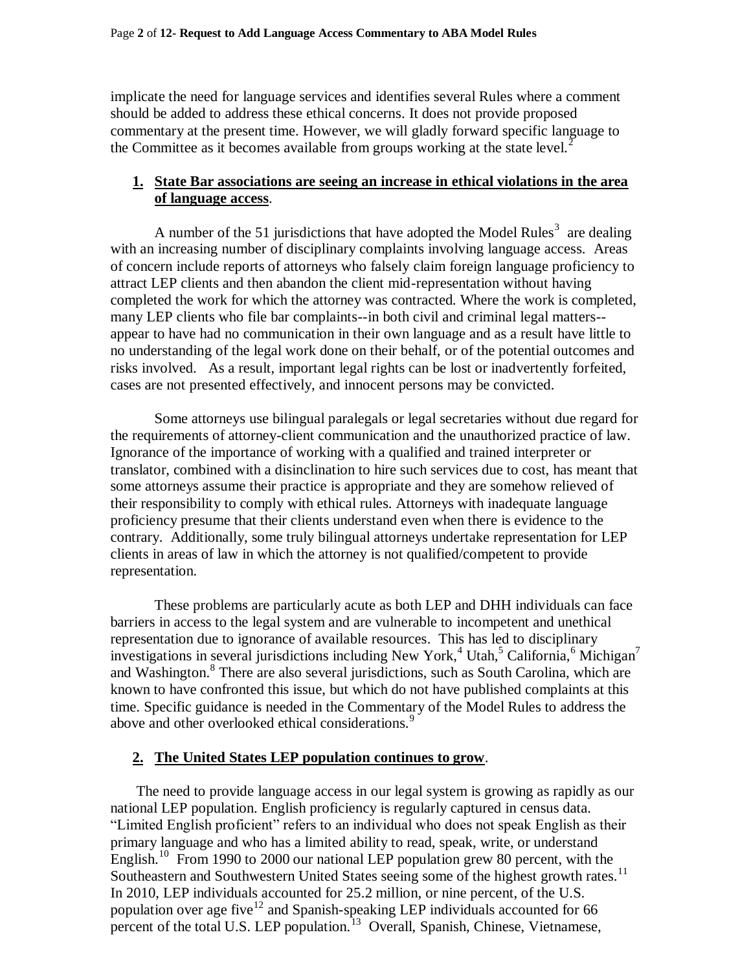implicate the need for language services and identifies several Rules where a comment should be added to address these ethical concerns. It does not provide proposed commentary at the present time. However, we will gladly forward specific language to the Committee as it becomes available from groups working at the state level.<sup>2</sup>

#### **1. State Bar associations are seeing an increase in ethical violations in the area of language access**.

A number of the 51 jurisdictions that have adopted the Model Rules<sup>3</sup> are dealing with an increasing number of disciplinary complaints involving language access. Areas of concern include reports of attorneys who falsely claim foreign language proficiency to attract LEP clients and then abandon the client mid-representation without having completed the work for which the attorney was contracted. Where the work is completed, many LEP clients who file bar complaints--in both civil and criminal legal matters- appear to have had no communication in their own language and as a result have little to no understanding of the legal work done on their behalf, or of the potential outcomes and risks involved. As a result, important legal rights can be lost or inadvertently forfeited, cases are not presented effectively, and innocent persons may be convicted.

Some attorneys use bilingual paralegals or legal secretaries without due regard for the requirements of attorney-client communication and the unauthorized practice of law. Ignorance of the importance of working with a qualified and trained interpreter or translator, combined with a disinclination to hire such services due to cost, has meant that some attorneys assume their practice is appropriate and they are somehow relieved of their responsibility to comply with ethical rules. Attorneys with inadequate language proficiency presume that their clients understand even when there is evidence to the contrary. Additionally, some truly bilingual attorneys undertake representation for LEP clients in areas of law in which the attorney is not qualified/competent to provide representation.

These problems are particularly acute as both LEP and DHH individuals can face barriers in access to the legal system and are vulnerable to incompetent and unethical representation due to ignorance of available resources. This has led to disciplinary investigations in several jurisdictions including New York,<sup>4</sup> Utah,<sup>5</sup> California,<sup>6</sup> Michigan<sup>7</sup> and Washington.<sup>8</sup> There are also several jurisdictions, such as South Carolina, which are known to have confronted this issue, but which do not have published complaints at this time. Specific guidance is needed in the Commentary of the Model Rules to address the above and other overlooked ethical considerations.<sup>9</sup>

## **2. The United States LEP population continues to grow**.

The need to provide language access in our legal system is growing as rapidly as our national LEP population. English proficiency is regularly captured in census data. "Limited English proficient" refers to an individual who does not speak English as their primary language and who has a limited ability to read, speak, write, or understand English.<sup>10</sup> From 1990 to 2000 our national LEP population grew 80 percent, with the Southeastern and Southwestern United States seeing some of the highest growth rates.<sup>11</sup> In 2010, LEP individuals accounted for 25.2 million, or nine percent, of the U.S. population over age five<sup>12</sup> and Spanish-speaking LEP individuals accounted for 66 percent of the total U.S. LEP population.<sup>13</sup> Overall, Spanish, Chinese, Vietnamese,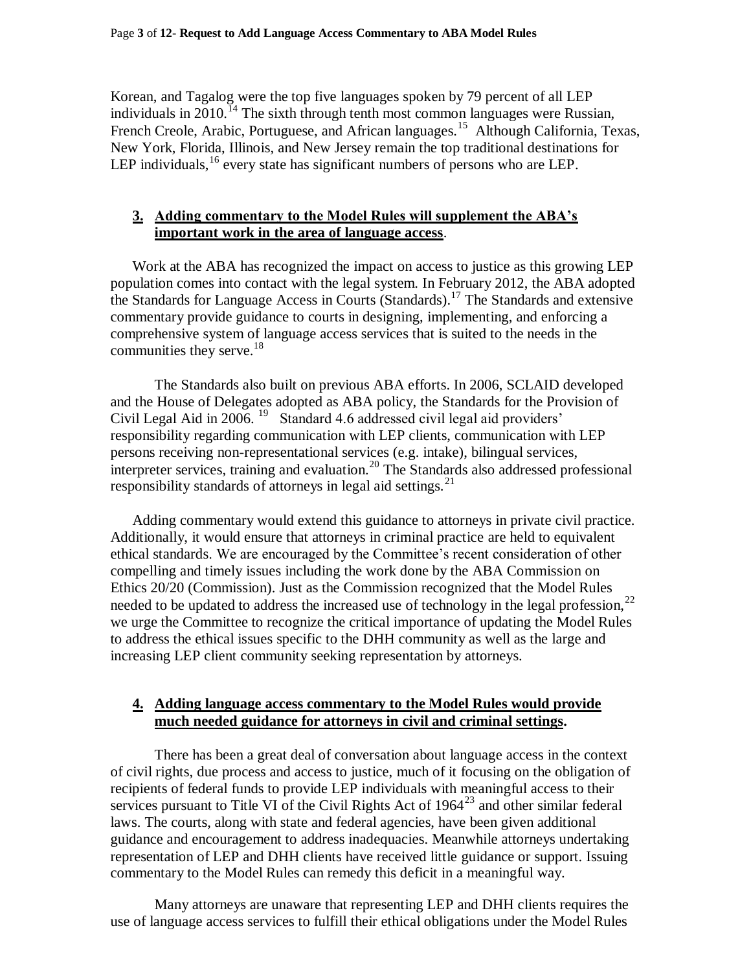Korean, and Tagalog were the top five languages spoken by 79 percent of all LEP individuals in  $2010$ .<sup>14</sup> The sixth through tenth most common languages were Russian, French Creole, Arabic, Portuguese, and African languages.<sup>15</sup> Although California, Texas, New York, Florida, Illinois, and New Jersey remain the top traditional destinations for LEP individuals,<sup>16</sup> every state has significant numbers of persons who are LEP.

# **3. Adding commentary to the Model Rules will supplement the ABA's important work in the area of language access**.

Work at the ABA has recognized the impact on access to justice as this growing LEP population comes into contact with the legal system. In February 2012, the ABA adopted the Standards for Language Access in Courts (Standards).<sup>17</sup> The Standards and extensive commentary provide guidance to courts in designing, implementing, and enforcing a comprehensive system of language access services that is suited to the needs in the communities they serve.<sup>18</sup>

The Standards also built on previous ABA efforts. In 2006, SCLAID developed and the House of Delegates adopted as ABA policy, the Standards for the Provision of Civil Legal Aid in 2006.<sup>19</sup> Standard 4.6 addressed civil legal aid providers' responsibility regarding communication with LEP clients, communication with LEP persons receiving non-representational services (e.g. intake), bilingual services, interpreter services, training and evaluation.<sup>20</sup> The Standards also addressed professional responsibility standards of attorneys in legal aid settings. $^{21}$ 

Adding commentary would extend this guidance to attorneys in private civil practice. Additionally, it would ensure that attorneys in criminal practice are held to equivalent ethical standards. We are encouraged by the Committee's recent consideration of other compelling and timely issues including the work done by the ABA Commission on Ethics 20/20 (Commission). Just as the Commission recognized that the Model Rules needed to be updated to address the increased use of technology in the legal profession,<sup>22</sup> we urge the Committee to recognize the critical importance of updating the Model Rules to address the ethical issues specific to the DHH community as well as the large and increasing LEP client community seeking representation by attorneys.

## **4. Adding language access commentary to the Model Rules would provide much needed guidance for attorneys in civil and criminal settings.**

There has been a great deal of conversation about language access in the context of civil rights, due process and access to justice, much of it focusing on the obligation of recipients of federal funds to provide LEP individuals with meaningful access to their services pursuant to Title VI of the Civil Rights Act of  $1964^{23}$  and other similar federal laws. The courts, along with state and federal agencies, have been given additional guidance and encouragement to address inadequacies. Meanwhile attorneys undertaking representation of LEP and DHH clients have received little guidance or support. Issuing commentary to the Model Rules can remedy this deficit in a meaningful way.

Many attorneys are unaware that representing LEP and DHH clients requires the use of language access services to fulfill their ethical obligations under the Model Rules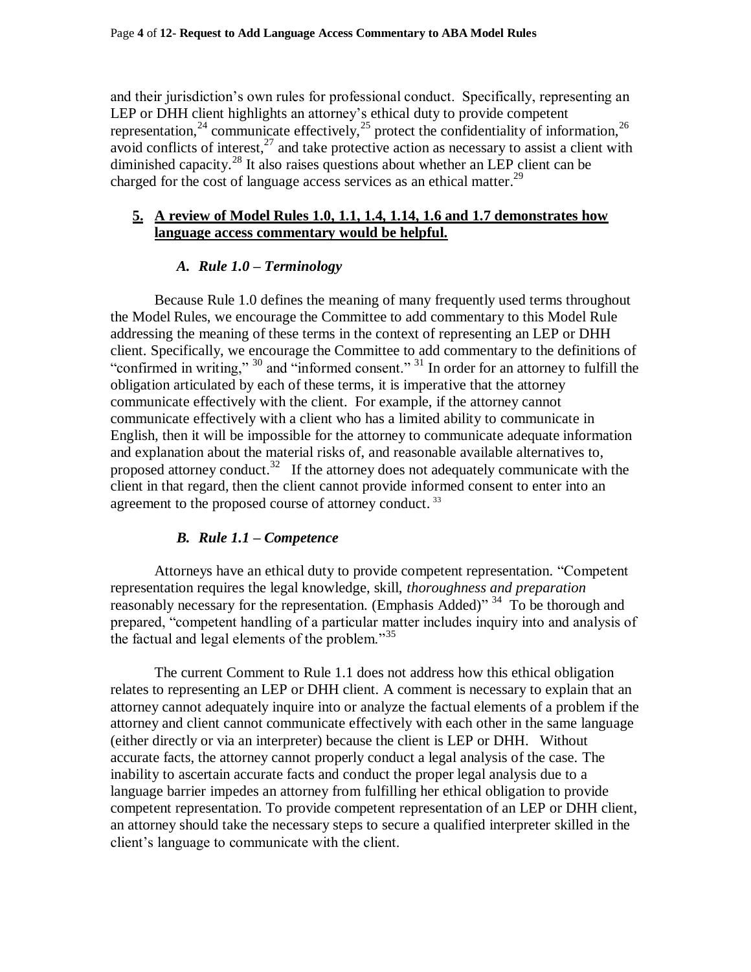and their jurisdiction's own rules for professional conduct. Specifically, representing an LEP or DHH client highlights an attorney's ethical duty to provide competent representation,<sup>24</sup> communicate effectively,<sup>25</sup> protect the confidentiality of information,<sup>26</sup> avoid conflicts of interest, $^{27}$  and take protective action as necessary to assist a client with diminished capacity.<sup>28</sup> It also raises questions about whether an LEP client can be charged for the cost of language access services as an ethical matter.<sup>29</sup>

#### **5. A review of Model Rules 1.0, 1.1, 1.4, 1.14, 1.6 and 1.7 demonstrates how language access commentary would be helpful.**

## *A. Rule 1.0 – Terminology*

Because Rule 1.0 defines the meaning of many frequently used terms throughout the Model Rules, we encourage the Committee to add commentary to this Model Rule addressing the meaning of these terms in the context of representing an LEP or DHH client. Specifically, we encourage the Committee to add commentary to the definitions of "confirmed in writing," <sup>30</sup> and "informed consent." <sup>31</sup> In order for an attorney to fulfill the obligation articulated by each of these terms, it is imperative that the attorney communicate effectively with the client. For example, if the attorney cannot communicate effectively with a client who has a limited ability to communicate in English, then it will be impossible for the attorney to communicate adequate information and explanation about the material risks of, and reasonable available alternatives to, proposed attorney conduct.<sup>32</sup> If the attorney does not adequately communicate with the client in that regard, then the client cannot provide informed consent to enter into an agreement to the proposed course of attorney conduct.<sup>33</sup>

## *B. Rule 1.1 – Competence*

Attorneys have an ethical duty to provide competent representation. "Competent representation requires the legal knowledge, skill, *thoroughness and preparation* reasonably necessary for the representation. (Emphasis Added)"<sup>34</sup> To be thorough and prepared, "competent handling of a particular matter includes inquiry into and analysis of the factual and legal elements of the problem."<sup>35</sup>

The current Comment to Rule 1.1 does not address how this ethical obligation relates to representing an LEP or DHH client. A comment is necessary to explain that an attorney cannot adequately inquire into or analyze the factual elements of a problem if the attorney and client cannot communicate effectively with each other in the same language (either directly or via an interpreter) because the client is LEP or DHH. Without accurate facts, the attorney cannot properly conduct a legal analysis of the case. The inability to ascertain accurate facts and conduct the proper legal analysis due to a language barrier impedes an attorney from fulfilling her ethical obligation to provide competent representation. To provide competent representation of an LEP or DHH client, an attorney should take the necessary steps to secure a qualified interpreter skilled in the client's language to communicate with the client.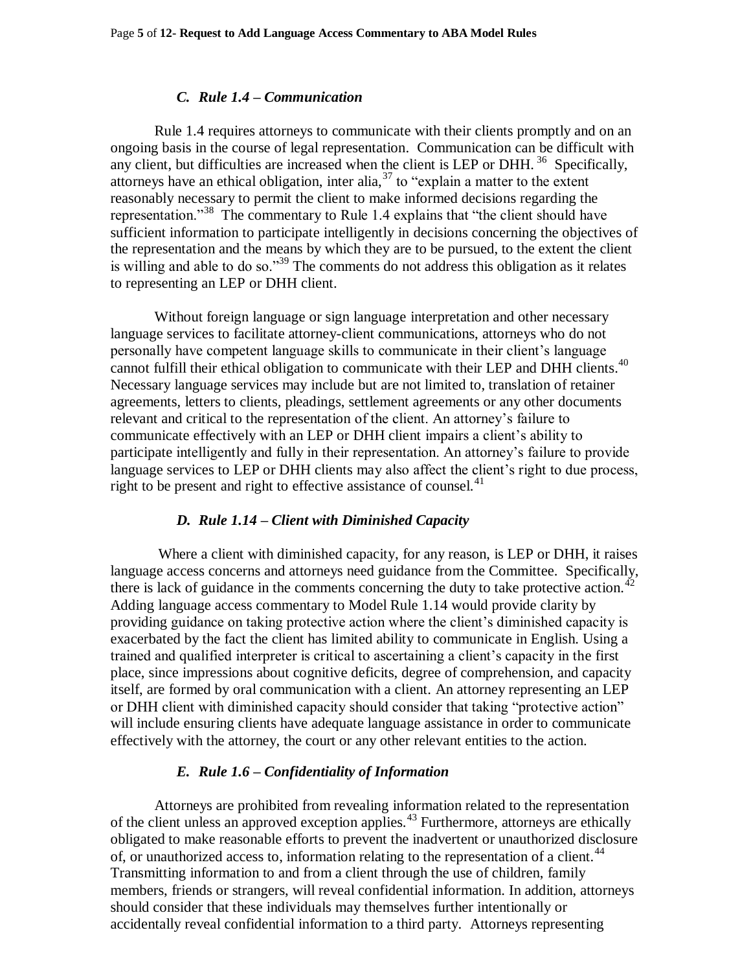#### *C. Rule 1.4 – Communication*

Rule 1.4 requires attorneys to communicate with their clients promptly and on an ongoing basis in the course of legal representation. Communication can be difficult with any client, but difficulties are increased when the client is LEP or DHH.  $36$  Specifically, attorneys have an ethical obligation, inter alia,  $37$  to "explain a matter to the extent reasonably necessary to permit the client to make informed decisions regarding the representation."<sup>38</sup> The commentary to Rule 1.4 explains that "the client should have sufficient information to participate intelligently in decisions concerning the objectives of the representation and the means by which they are to be pursued, to the extent the client is willing and able to do so."<sup>39</sup> The comments do not address this obligation as it relates to representing an LEP or DHH client.

Without foreign language or sign language interpretation and other necessary language services to facilitate attorney-client communications, attorneys who do not personally have competent language skills to communicate in their client's language cannot fulfill their ethical obligation to communicate with their LEP and DHH clients.<sup>40</sup> Necessary language services may include but are not limited to, translation of retainer agreements, letters to clients, pleadings, settlement agreements or any other documents relevant and critical to the representation of the client. An attorney's failure to communicate effectively with an LEP or DHH client impairs a client's ability to participate intelligently and fully in their representation. An attorney's failure to provide language services to LEP or DHH clients may also affect the client's right to due process, right to be present and right to effective assistance of counsel.<sup>41</sup>

#### *D. Rule 1.14 – Client with Diminished Capacity*

Where a client with diminished capacity, for any reason, is LEP or DHH, it raises language access concerns and attorneys need guidance from the Committee. Specifically, there is lack of guidance in the comments concerning the duty to take protective action.<sup>42</sup> Adding language access commentary to Model Rule 1.14 would provide clarity by providing guidance on taking protective action where the client's diminished capacity is exacerbated by the fact the client has limited ability to communicate in English. Using a trained and qualified interpreter is critical to ascertaining a client's capacity in the first place, since impressions about cognitive deficits, degree of comprehension, and capacity itself, are formed by oral communication with a client. An attorney representing an LEP or DHH client with diminished capacity should consider that taking "protective action" will include ensuring clients have adequate language assistance in order to communicate effectively with the attorney, the court or any other relevant entities to the action.

#### *E. Rule 1.6 – Confidentiality of Information*

Attorneys are prohibited from revealing information related to the representation of the client unless an approved exception applies.<sup>43</sup> Furthermore, attorneys are ethically obligated to make reasonable efforts to prevent the inadvertent or unauthorized disclosure of, or unauthorized access to, information relating to the representation of a client.<sup>44</sup> Transmitting information to and from a client through the use of children, family members, friends or strangers, will reveal confidential information. In addition, attorneys should consider that these individuals may themselves further intentionally or accidentally reveal confidential information to a third party. Attorneys representing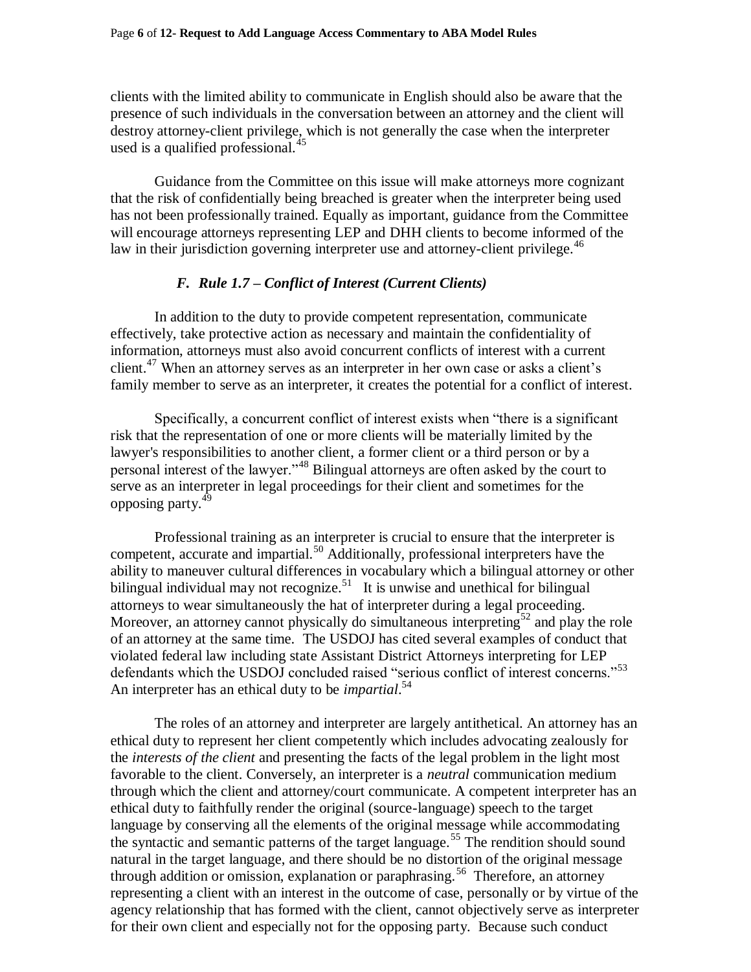clients with the limited ability to communicate in English should also be aware that the presence of such individuals in the conversation between an attorney and the client will destroy attorney-client privilege, which is not generally the case when the interpreter used is a qualified professional.<sup>45</sup>

Guidance from the Committee on this issue will make attorneys more cognizant that the risk of confidentially being breached is greater when the interpreter being used has not been professionally trained. Equally as important, guidance from the Committee will encourage attorneys representing LEP and DHH clients to become informed of the law in their jurisdiction governing interpreter use and attorney-client privilege.<sup>46</sup>

#### *F. Rule 1.7 – Conflict of Interest (Current Clients)*

In addition to the duty to provide competent representation, communicate effectively, take protective action as necessary and maintain the confidentiality of information, attorneys must also avoid concurrent conflicts of interest with a current client.<sup>47</sup> When an attorney serves as an interpreter in her own case or asks a client's family member to serve as an interpreter, it creates the potential for a conflict of interest.

Specifically, a concurrent conflict of interest exists when "there is a significant risk that the representation of one or more clients will be materially limited by the lawyer's responsibilities to another client, a former client or a third person or by a personal interest of the lawyer."<sup>48</sup> Bilingual attorneys are often asked by the court to serve as an interpreter in legal proceedings for their client and sometimes for the opposing party.<sup>49</sup>

Professional training as an interpreter is crucial to ensure that the interpreter is competent, accurate and impartial.<sup>50</sup> Additionally, professional interpreters have the ability to maneuver cultural differences in vocabulary which a bilingual attorney or other bilingual individual may not recognize.<sup>51</sup> It is unwise and unethical for bilingual attorneys to wear simultaneously the hat of interpreter during a legal proceeding. Moreover, an attorney cannot physically do simultaneous interpreting<sup>52</sup> and play the role of an attorney at the same time. The USDOJ has cited several examples of conduct that violated federal law including state Assistant District Attorneys interpreting for LEP defendants which the USDOJ concluded raised "serious conflict of interest concerns."<sup>53</sup> An interpreter has an ethical duty to be *impartial*. 54

The roles of an attorney and interpreter are largely antithetical. An attorney has an ethical duty to represent her client competently which includes advocating zealously for the *interests of the client* and presenting the facts of the legal problem in the light most favorable to the client. Conversely, an interpreter is a *neutral* communication medium through which the client and attorney/court communicate. A competent interpreter has an ethical duty to faithfully render the original (source-language) speech to the target language by conserving all the elements of the original message while accommodating the syntactic and semantic patterns of the target language.<sup>55</sup> The rendition should sound natural in the target language, and there should be no distortion of the original message through addition or omission, explanation or paraphrasing.<sup>56</sup> Therefore, an attorney representing a client with an interest in the outcome of case, personally or by virtue of the agency relationship that has formed with the client, cannot objectively serve as interpreter for their own client and especially not for the opposing party. Because such conduct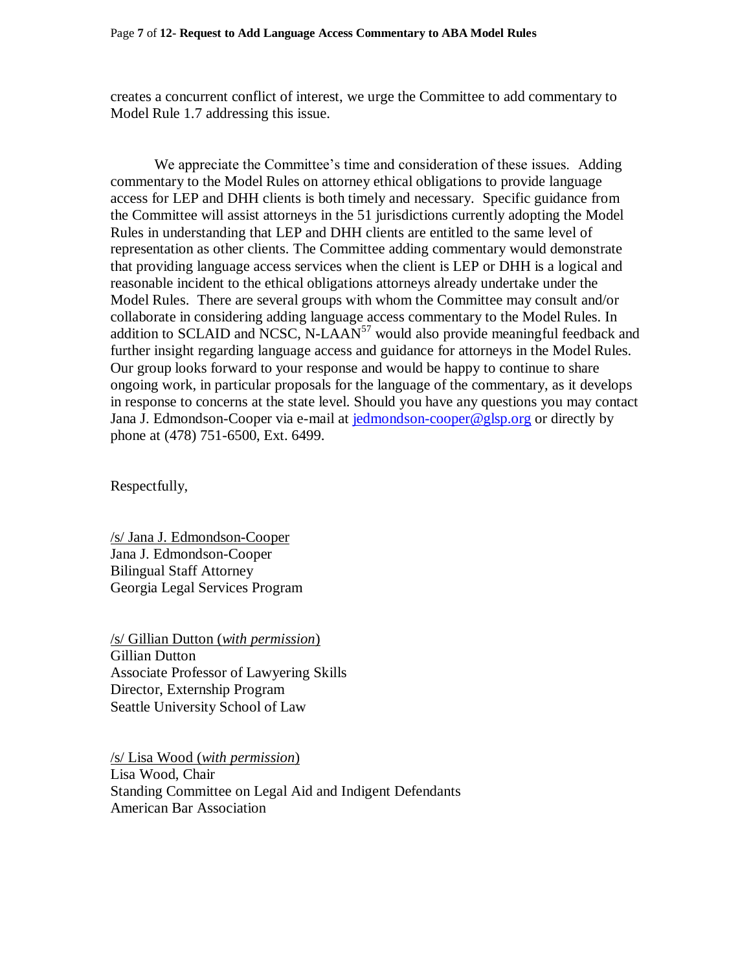creates a concurrent conflict of interest, we urge the Committee to add commentary to Model Rule 1.7 addressing this issue.

We appreciate the Committee's time and consideration of these issues. Adding commentary to the Model Rules on attorney ethical obligations to provide language access for LEP and DHH clients is both timely and necessary. Specific guidance from the Committee will assist attorneys in the 51 jurisdictions currently adopting the Model Rules in understanding that LEP and DHH clients are entitled to the same level of representation as other clients. The Committee adding commentary would demonstrate that providing language access services when the client is LEP or DHH is a logical and reasonable incident to the ethical obligations attorneys already undertake under the Model Rules. There are several groups with whom the Committee may consult and/or collaborate in considering adding language access commentary to the Model Rules. In addition to SCLAID and NCSC, N-LAAN<sup>57</sup> would also provide meaningful feedback and further insight regarding language access and guidance for attorneys in the Model Rules. Our group looks forward to your response and would be happy to continue to share ongoing work, in particular proposals for the language of the commentary, as it develops in response to concerns at the state level. Should you have any questions you may contact Jana J. Edmondson-Cooper via e-mail at [jedmondson-cooper@glsp.org](mailto:jedmondson-cooper@glsp.org) or directly by phone at (478) 751-6500, Ext. 6499.

Respectfully,

/s/ Jana J. Edmondson-Cooper Jana J. Edmondson-Cooper Bilingual Staff Attorney Georgia Legal Services Program

/s/ Gillian Dutton (*with permission*) Gillian Dutton Associate Professor of Lawyering Skills Director, Externship Program Seattle University School of Law

/s/ Lisa Wood (*with permission*) Lisa Wood, Chair Standing Committee on Legal Aid and Indigent Defendants American Bar Association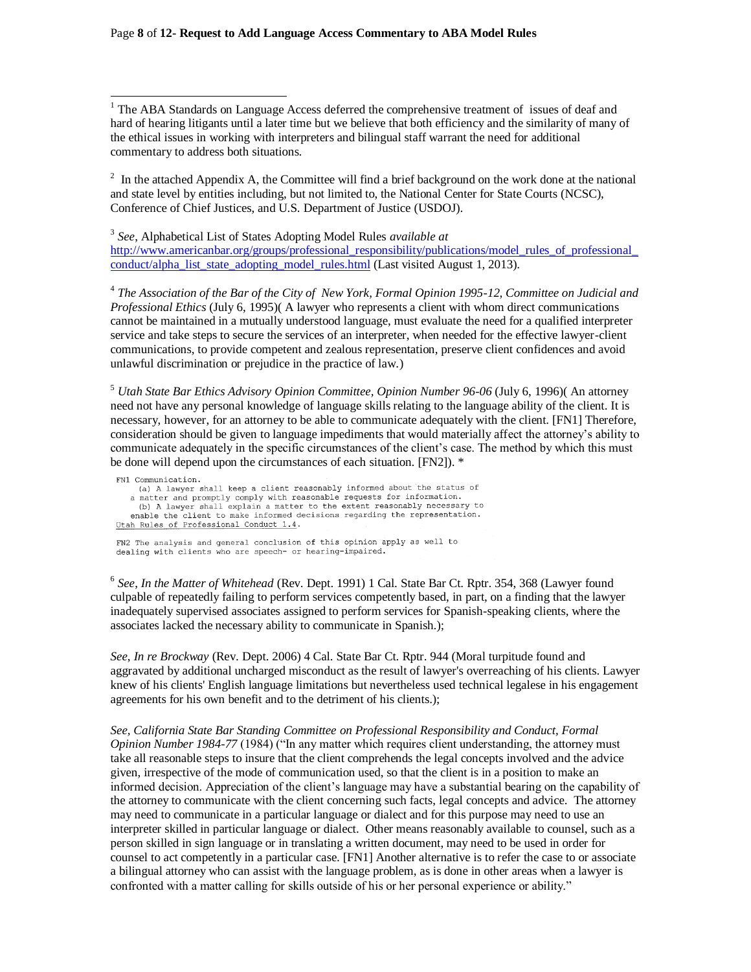#### Page **8** of **12- Request to Add Language Access Commentary to ABA Model Rules**

 $\overline{a}$ 

 $1$  The ABA Standards on Language Access deferred the comprehensive treatment of issues of deaf and hard of hearing litigants until a later time but we believe that both efficiency and the similarity of many of the ethical issues in working with interpreters and bilingual staff warrant the need for additional commentary to address both situations.

 $2<sup>2</sup>$  In the attached Appendix A, the Committee will find a brief background on the work done at the national and state level by entities including, but not limited to, the National Center for State Courts (NCSC), Conference of Chief Justices, and U.S. Department of Justice (USDOJ).

3 *See*, Alphabetical List of States Adopting Model Rules *available at* [http://www.americanbar.org/groups/professional\\_responsibility/publications/model\\_rules\\_of\\_professional\\_](http://www.americanbar.org/groups/professional_responsibility/publications/model_rules_of_professional_conduct/alpha_list_state_adopting_model_rules.html) [conduct/alpha\\_list\\_state\\_adopting\\_model\\_rules.html](http://www.americanbar.org/groups/professional_responsibility/publications/model_rules_of_professional_conduct/alpha_list_state_adopting_model_rules.html) (Last visited August 1, 2013).

4 *The Association of the Bar of the City of New York, Formal Opinion 1995-12, Committee on Judicial and Professional Ethics* (July 6, 1995)( A lawyer who represents a client with whom direct communications cannot be maintained in a mutually understood language, must evaluate the need for a qualified interpreter service and take steps to secure the services of an interpreter, when needed for the effective lawyer-client communications, to provide competent and zealous representation, preserve client confidences and avoid unlawful discrimination or prejudice in the practice of law.)

<sup>5</sup> *Utah State Bar Ethics Advisory Opinion Committee, Opinion Number 96-06* (July 6, 1996)( An attorney need not have any personal knowledge of language skills relating to the language ability of the client. It is necessary, however, for an attorney to be able to communicate adequately with the client. [FN1] Therefore, consideration should be given to language impediments that would materially affect the attorney's ability to communicate adequately in the specific circumstances of the client's case. The method by which this must be done will depend upon the circumstances of each situation. [FN2]). \*

FN1 Communication. (a) A lawyer shall keep a client reasonably informed about the status of a matter and promptly comply with reasonable requests for information. (b) A lawyer shall explain a matter to the extent reasonably necessary to enable the client to make informed decisions regarding the representation. Utah Rules of Professional Conduct 1.4.

FN2 The analysis and general conclusion of this opinion apply as well to dealing with clients who are speech- or hearing-impaired.

6 *See*, *In the Matter of Whitehead* (Rev. Dept. 1991) 1 Cal. State Bar Ct. Rptr. 354, 368 (Lawyer found culpable of repeatedly failing to perform services competently based, in part, on a finding that the lawyer inadequately supervised associates assigned to perform services for Spanish-speaking clients, where the associates lacked the necessary ability to communicate in Spanish.);

*See*, *In re Brockway* (Rev. Dept. 2006) 4 Cal. State Bar Ct. Rptr. 944 (Moral turpitude found and aggravated by additional uncharged misconduct as the result of lawyer's overreaching of his clients. Lawyer knew of his clients' English language limitations but nevertheless used technical legalese in his engagement agreements for his own benefit and to the detriment of his clients.);

*See, California State Bar Standing Committee on Professional Responsibility and Conduct, Formal Opinion Number 1984-77* (1984) ("In any matter which requires client understanding, the attorney must take all reasonable steps to insure that the client comprehends the legal concepts involved and the advice given, irrespective of the mode of communication used, so that the client is in a position to make an informed decision. Appreciation of the client's language may have a substantial bearing on the capability of the attorney to communicate with the client concerning such facts, legal concepts and advice. The attorney may need to communicate in a particular language or dialect and for this purpose may need to use an interpreter skilled in particular language or dialect. Other means reasonably available to counsel, such as a person skilled in sign language or in translating a written document, may need to be used in order for counsel to act competently in a particular case. [FN1] Another alternative is to refer the case to or associate a bilingual attorney who can assist with the language problem, as is done in other areas when a lawyer is confronted with a matter calling for skills outside of his or her personal experience or ability."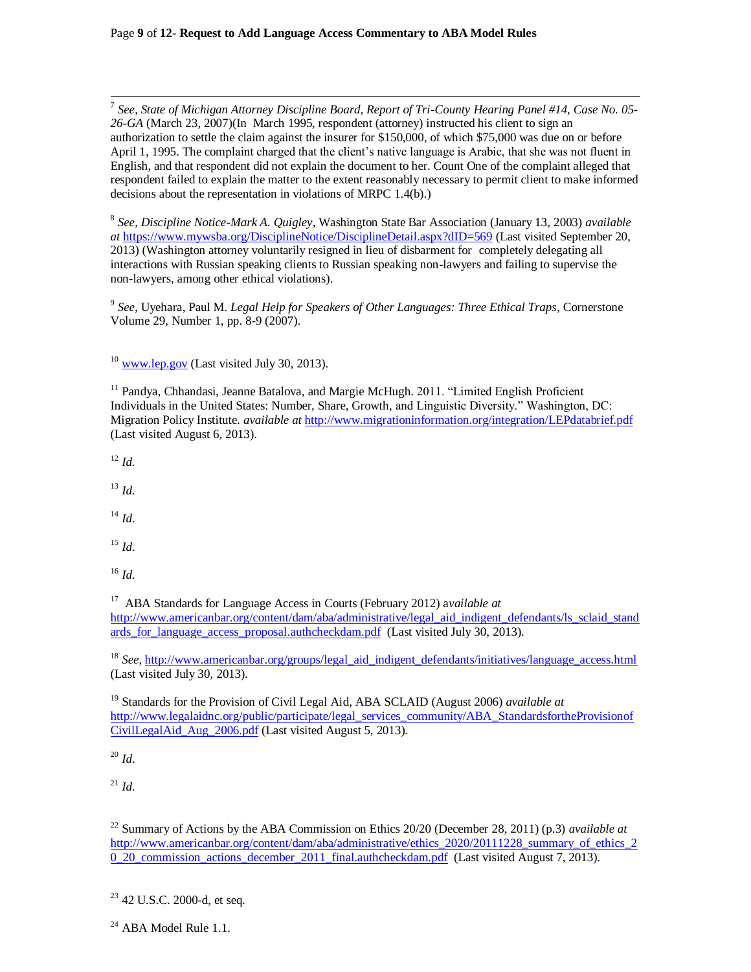7 *See*, *State of Michigan Attorney Discipline Board, Report of Tri-County Hearing Panel #14, Case No. 05- 26-GA* (March 23, 2007)(In March 1995, respondent (attorney) instructed his client to sign an authorization to settle the claim against the insurer for \$150,000, of which \$75,000 was due on or before April 1, 1995. The complaint charged that the client's native language is Arabic, that she was not fluent in English, and that respondent did not explain the document to her. Count One of the complaint alleged that respondent failed to explain the matter to the extent reasonably necessary to permit client to make informed decisions about the representation in violations of MRPC 1.4(b).)

8 *See*, *Discipline Notice-Mark A. Quigley,* Washington State Bar Association (January 13, 2003) *available at* <https://www.mywsba.org/DisciplineNotice/DisciplineDetail.aspx?dID=569> (Last visited September 20, 2013) (Washington attorney voluntarily resigned in lieu of disbarment for completely delegating all interactions with Russian speaking clients to Russian speaking non-lawyers and failing to supervise the non-lawyers, among other ethical violations).

9 *See*, Uyehara, Paul M. *Legal Help for Speakers of Other Languages: Three Ethical Traps*, Cornerstone Volume 29, Number 1, pp. 8-9 (2007).

 $10$  [www.lep.gov](http://www.lep.gov/) (Last visited July 30, 2013).

<sup>11</sup> Pandya, Chhandasi, Jeanne Batalova, and Margie McHugh. 2011. "Limited English Proficient Individuals in the United States: Number, Share, Growth, and Linguistic Diversity." Washington, DC: Migration Policy Institute. *available at* <http://www.migrationinformation.org/integration/LEPdatabrief.pdf> (Last visited August 6, 2013).

<sup>12</sup> *Id.*

<sup>13</sup> *Id.*

<sup>14</sup> *Id.*

- <sup>15</sup> *Id*.
- <sup>16</sup> *Id.*

<sup>17</sup> ABA Standards for Language Access in Courts (February 2012) available at [http://www.americanbar.org/content/dam/aba/administrative/legal\\_aid\\_indigent\\_defendants/ls\\_sclaid\\_stand](http://www.americanbar.org/content/dam/aba/administrative/legal_aid_indigent_defendants/ls_sclaid_standards_for_language_access_proposal.authcheckdam.pdf) ards for language access proposal.authcheckdam.pdf (Last visited July 30, 2013).

<sup>18</sup> *See*, [http://www.americanbar.org/groups/legal\\_aid\\_indigent\\_defendants/initiatives/language\\_access.html](http://www.americanbar.org/groups/legal_aid_indigent_defendants/initiatives/language_access.html) (Last visited July 30, 2013).

<sup>19</sup> Standards for the Provision of Civil Legal Aid, ABA SCLAID (August 2006) *available at* [http://www.legalaidnc.org/public/participate/legal\\_services\\_community/ABA\\_StandardsfortheProvisionof](http://www.legalaidnc.org/public/participate/legal_services_community/ABA_StandardsfortheProvisionofCivilLegalAid_Aug_2006.pdf) [CivilLegalAid\\_Aug\\_2006.pdf](http://www.legalaidnc.org/public/participate/legal_services_community/ABA_StandardsfortheProvisionofCivilLegalAid_Aug_2006.pdf) (Last visited August 5, 2013).

 $^{20}$  *Id.* 

<sup>21</sup> *Id.*

<sup>22</sup> Summary of Actions by the ABA Commission on Ethics 20/20 (December 28, 2011) (p.3) *available at*  [http://www.americanbar.org/content/dam/aba/administrative/ethics\\_2020/20111228\\_summary\\_of\\_ethics\\_2](http://www.americanbar.org/content/dam/aba/administrative/ethics_2020/20111228_summary_of_ethics_20_20_commission_actions_december_2011_final.authcheckdam.pdf) [0\\_20\\_commission\\_actions\\_december\\_2011\\_final.authcheckdam.pdf](http://www.americanbar.org/content/dam/aba/administrative/ethics_2020/20111228_summary_of_ethics_20_20_commission_actions_december_2011_final.authcheckdam.pdf) (Last visited August 7, 2013).

<sup>&</sup>lt;sup>23</sup> 42 U.S.C. 2000-d, et seq.

<sup>&</sup>lt;sup>24</sup> ABA Model Rule 1.1.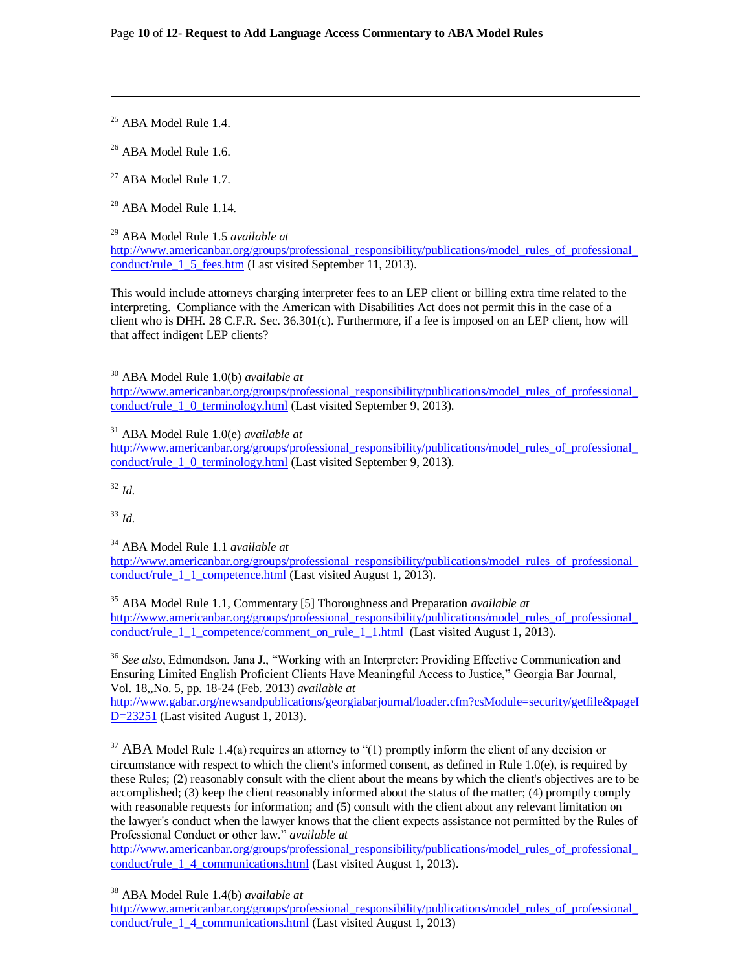<sup>25</sup> ABA Model Rule 1.4.

 $\overline{a}$ 

<sup>26</sup> ABA Model Rule 1.6.

 $27$  ABA Model Rule 1.7.

<sup>28</sup> ABA Model Rule 1.14.

<sup>29</sup> ABA Model Rule 1.5 *available at* 

[http://www.americanbar.org/groups/professional\\_responsibility/publications/model\\_rules\\_of\\_professional\\_](http://www.americanbar.org/groups/professional_responsibility/publications/model_rules_of_professional_conduct/rule_1_5_fees.htm) conduct/rule 1\_5\_fees.htm (Last visited September 11, 2013).

This would include attorneys charging interpreter fees to an LEP client or billing extra time related to the interpreting. Compliance with the American with Disabilities Act does not permit this in the case of a client who is DHH. 28 C.F.R. Sec. 36.301(c). Furthermore, if a fee is imposed on an LEP client, how will that affect indigent LEP clients?

<sup>30</sup> ABA Model Rule 1.0(b) *available at*

[http://www.americanbar.org/groups/professional\\_responsibility/publications/model\\_rules\\_of\\_professional\\_](http://www.americanbar.org/groups/professional_responsibility/publications/model_rules_of_professional_conduct/rule_1_0_terminology.html) conduct/rule 1 0 terminology.html (Last visited September 9, 2013).

<sup>31</sup> ABA Model Rule 1.0(e) *available at* 

[http://www.americanbar.org/groups/professional\\_responsibility/publications/model\\_rules\\_of\\_professional\\_](http://www.americanbar.org/groups/professional_responsibility/publications/model_rules_of_professional_conduct/rule_1_0_terminology.html) conduct/rule 1 0 terminology.html (Last visited September 9, 2013).

<sup>32</sup> *Id.*

<sup>33</sup> *Id.*

<sup>34</sup> ABA Model Rule 1.1 *available at*

[http://www.americanbar.org/groups/professional\\_responsibility/publications/model\\_rules\\_of\\_professional\\_](http://www.americanbar.org/groups/professional_responsibility/publications/model_rules_of_professional_conduct/rule_1_1_competence.html) conduct/rule 1 1 competence.html (Last visited August 1, 2013).

<sup>35</sup> ABA Model Rule 1.1, Commentary [5] Thoroughness and Preparation *available at*  [http://www.americanbar.org/groups/professional\\_responsibility/publications/model\\_rules\\_of\\_professional\\_](http://www.americanbar.org/groups/professional_responsibility/publications/model_rules_of_professional_conduct/rule_1_1_competence/comment_on_rule_1_1.html) conduct/rule 1 1 competence/comment on rule 1 1.html (Last visited August 1, 2013).

<sup>36</sup> *See also*, Edmondson, Jana J., "Working with an Interpreter: Providing Effective Communication and Ensuring Limited English Proficient Clients Have Meaningful Access to Justice," Georgia Bar Journal, Vol. 18,,No. 5, pp. 18-24 (Feb. 2013) *available at*

[http://www.gabar.org/newsandpublications/georgiabarjournal/loader.cfm?csModule=security/getfile&pageI](http://www.gabar.org/newsandpublications/georgiabarjournal/loader.cfm?csModule=security/getfile&pageID=23251) [D=23251](http://www.gabar.org/newsandpublications/georgiabarjournal/loader.cfm?csModule=security/getfile&pageID=23251) (Last visited August 1, 2013).

<sup>37</sup> ABA Model Rule 1.4(a) requires an attorney to "(1) promptly inform the client of any decision or circumstance with respect to which the client's informed consent, as defined in Rule 1.0(e), is required by these Rules; (2) reasonably consult with the client about the means by which the client's objectives are to be accomplished; (3) keep the client reasonably informed about the status of the matter; (4) promptly comply with reasonable requests for information; and  $(5)$  consult with the client about any relevant limitation on the lawyer's conduct when the lawyer knows that the client expects assistance not permitted by the Rules of Professional Conduct or other law." *available at* 

[http://www.americanbar.org/groups/professional\\_responsibility/publications/model\\_rules\\_of\\_professional\\_](http://www.americanbar.org/groups/professional_responsibility/publications/model_rules_of_professional_conduct/rule_1_4_communications.html) [conduct/rule\\_1\\_4\\_communications.html](http://www.americanbar.org/groups/professional_responsibility/publications/model_rules_of_professional_conduct/rule_1_4_communications.html) (Last visited August 1, 2013).

<sup>38</sup> ABA Model Rule 1.4(b) *available at*

[http://www.americanbar.org/groups/professional\\_responsibility/publications/model\\_rules\\_of\\_professional\\_](http://www.americanbar.org/groups/professional_responsibility/publications/model_rules_of_professional_conduct/rule_1_4_communications.html) conduct/rule 1 4 communications.html (Last visited August 1, 2013)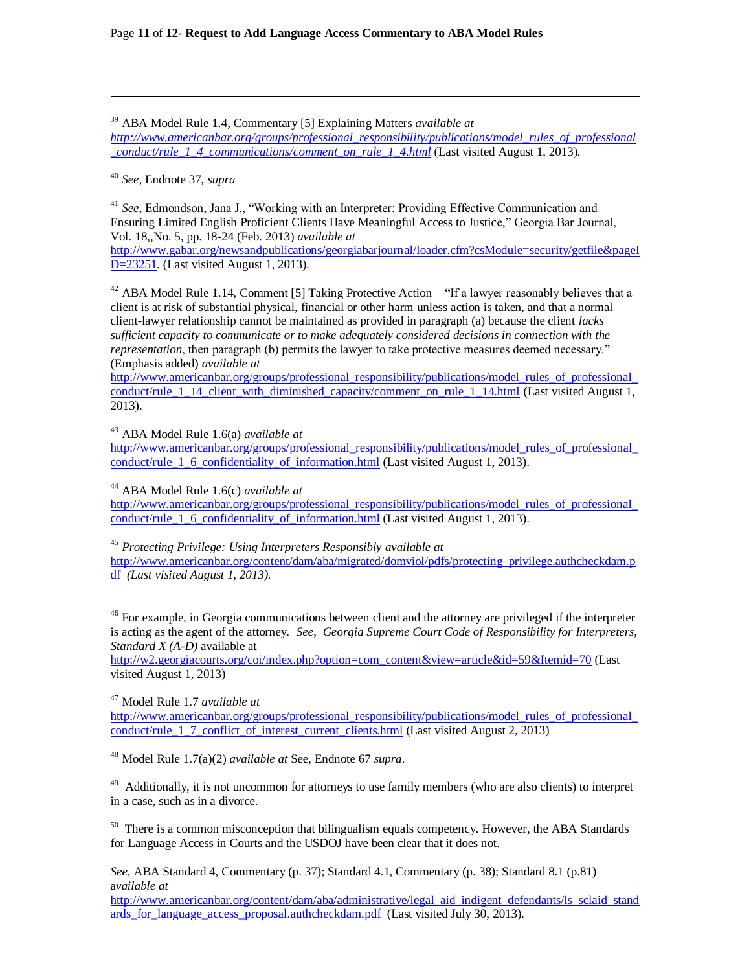<sup>39</sup> ABA Model Rule 1.4, Commentary [5] Explaining Matters *available at [http://www.americanbar.org/groups/professional\\_responsibility/publications/model\\_rules\\_of\\_professional](http://www.americanbar.org/groups/professional_responsibility/publications/model_rules_of_professional_conduct/rule_1_4_communications/comment_on_rule_1_4.html) [\\_conduct/rule\\_1\\_4\\_communications/comment\\_on\\_rule\\_1\\_4.html](http://www.americanbar.org/groups/professional_responsibility/publications/model_rules_of_professional_conduct/rule_1_4_communications/comment_on_rule_1_4.html)* (Last visited August 1, 2013).

<sup>40</sup> *See,* Endnote 37, *supra*

 $\overline{a}$ 

<sup>41</sup> *See*, Edmondson, Jana J., "Working with an Interpreter: Providing Effective Communication and Ensuring Limited English Proficient Clients Have Meaningful Access to Justice," Georgia Bar Journal, Vol. 18,,No. 5, pp. 18-24 (Feb. 2013) *available at*

[http://www.gabar.org/newsandpublications/georgiabarjournal/loader.cfm?csModule=security/getfile&pageI](http://www.gabar.org/newsandpublications/georgiabarjournal/loader.cfm?csModule=security/getfile&pageID=23251) [D=23251](http://www.gabar.org/newsandpublications/georgiabarjournal/loader.cfm?csModule=security/getfile&pageID=23251)*.* (Last visited August 1, 2013).

 $42$  ABA Model Rule 1.14, Comment [5] Taking Protective Action – "If a lawyer reasonably believes that a client is at risk of substantial physical, financial or other harm unless action is taken, and that a normal client-lawyer relationship cannot be maintained as provided in paragraph (a) because the client *lacks sufficient capacity to communicate or to make adequately considered decisions in connection with the representation*, then paragraph (b) permits the lawyer to take protective measures deemed necessary." (Emphasis added) *available at*

[http://www.americanbar.org/groups/professional\\_responsibility/publications/model\\_rules\\_of\\_professional\\_](http://www.americanbar.org/groups/professional_responsibility/publications/model_rules_of_professional_conduct/rule_1_14_client_with_diminished_capacity/comment_on_rule_1_14.html) conduct/rule 1 14 client with diminished capacity/comment on rule 1 14.html (Last visited August 1, 2013).

<sup>43</sup> ABA Model Rule 1.6(a) *available at*

[http://www.americanbar.org/groups/professional\\_responsibility/publications/model\\_rules\\_of\\_professional\\_](http://www.americanbar.org/groups/professional_responsibility/publications/model_rules_of_professional_conduct/rule_1_6_confidentiality_of_information.html) conduct/rule 1\_6\_confidentiality\_of\_information.html (Last visited August 1, 2013).

<sup>44</sup> ABA Model Rule 1.6(c) *available at*

[http://www.americanbar.org/groups/professional\\_responsibility/publications/model\\_rules\\_of\\_professional\\_](http://www.americanbar.org/groups/professional_responsibility/publications/model_rules_of_professional_conduct/rule_1_6_confidentiality_of_information.html) conduct/rule 1\_6\_confidentiality\_of\_information.html (Last visited August 1, 2013).

<sup>45</sup> *Protecting Privilege: Using Interpreters Responsibly available at*

[http://www.americanbar.org/content/dam/aba/migrated/domviol/pdfs/protecting\\_privilege.authcheckdam.p](http://www.americanbar.org/content/dam/aba/migrated/domviol/pdfs/protecting_privilege.authcheckdam.pdf) [df](http://www.americanbar.org/content/dam/aba/migrated/domviol/pdfs/protecting_privilege.authcheckdam.pdf) *(Last visited August 1, 2013).* 

<sup>46</sup> For example, in Georgia communications between client and the attorney are privileged if the interpreter is acting as the agent of the attorney. *See*, *Georgia Supreme Court Code of Responsibility for Interpreters, Standard X (A-D)* available at

[http://w2.georgiacourts.org/coi/index.php?option=com\\_content&view=article&id=59&Itemid=70](http://w2.georgiacourts.org/coi/index.php?option=com_content&view=article&id=59&Itemid=70) (Last visited August 1, 2013)

<sup>47</sup> Model Rule 1.7 *available at*

[http://www.americanbar.org/groups/professional\\_responsibility/publications/model\\_rules\\_of\\_professional\\_](http://www.americanbar.org/groups/professional_responsibility/publications/model_rules_of_professional_conduct/rule_1_7_conflict_of_interest_current_clients.html) conduct/rule 1 7 conflict of interest current clients.html (Last visited August 2, 2013)

<sup>48</sup> Model Rule 1.7(a)(2) *available at* See, Endnote 67 *supra*.

<sup>49</sup> Additionally, it is not uncommon for attorneys to use family members (who are also clients) to interpret in a case, such as in a divorce.

 $50$  There is a common misconception that bilingualism equals competency. However, the ABA Standards for Language Access in Courts and the USDOJ have been clear that it does not.

*See*, ABA Standard 4, Commentary (p. 37); Standard 4.1, Commentary (p. 38); Standard 8.1 (p.81) a*vailable at*

[http://www.americanbar.org/content/dam/aba/administrative/legal\\_aid\\_indigent\\_defendants/ls\\_sclaid\\_stand](http://www.americanbar.org/content/dam/aba/administrative/legal_aid_indigent_defendants/ls_sclaid_standards_for_language_access_proposal.authcheckdam.pdf) ards for language access proposal.authcheckdam.pdf (Last visited July 30, 2013).